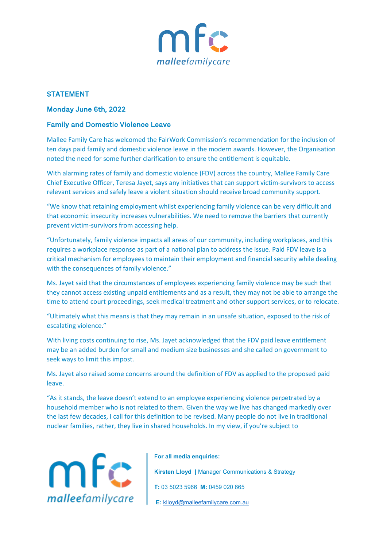

## **STATEMENT**

## Monday June 6th, 2022

## Family and Domestic Violence Leave

Mallee Family Care has welcomed the FairWork Commission's recommendation for the inclusion of ten days paid family and domestic violence leave in the modern awards. However, the Organisation noted the need for some further clarification to ensure the entitlement is equitable.

With alarming rates of family and domestic violence (FDV) across the country, Mallee Family Care Chief Executive Officer, Teresa Jayet, says any initiatives that can support victim-survivors to access relevant services and safely leave a violent situation should receive broad community support.

"We know that retaining employment whilst experiencing family violence can be very difficult and that economic insecurity increases vulnerabilities. We need to remove the barriers that currently prevent victim-survivors from accessing help.

"Unfortunately, family violence impacts all areas of our community, including workplaces, and this requires a workplace response as part of a national plan to address the issue. Paid FDV leave is a critical mechanism for employees to maintain their employment and financial security while dealing with the consequences of family violence."

Ms. Jayet said that the circumstances of employees experiencing family violence may be such that they cannot access existing unpaid entitlements and as a result, they may not be able to arrange the time to attend court proceedings, seek medical treatment and other support services, or to relocate.

"Ultimately what this means is that they may remain in an unsafe situation, exposed to the risk of escalating violence."

With living costs continuing to rise, Ms. Jayet acknowledged that the FDV paid leave entitlement may be an added burden for small and medium size businesses and she called on government to seek ways to limit this impost.

Ms. Jayet also raised some concerns around the definition of FDV as applied to the proposed paid leave.

"As it stands, the leave doesn't extend to an employee experiencing violence perpetrated by a household member who is not related to them. Given the way we live has changed markedly over the last few decades, I call for this definition to be revised. Many people do not live in traditional nuclear families, rather, they live in shared households. In my view, if you're subject to



## **For all media enquiries:**

**Kirsten Lloyd |** Manager Communications & Strategy **T:** 03 5023 5966 **M:** 0459 020 665 **E:** [klloyd@malleefamilycare.com.au](mailto:klloyd@malleefamilycare.com.au)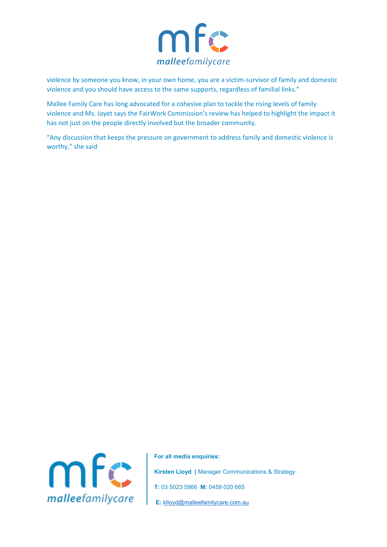

violence by someone you know, in your own home, you are a victim-survivor of family and domestic violence and you should have access to the same supports, regardless of familial links."

Mallee Family Care has long advocated for a cohesive plan to tackle the rising levels of family violence and Ms. Jayet says the FairWork Commission's review has helped to highlight the impact it has not just on the people directly involved but the broader community.

"Any discussion that keeps the pressure on government to address family and domestic violence is worthy," she said



**For all media enquiries: Kirsten Lloyd |** Manager Communications & Strategy **T:** 03 5023 5966 **M:** 0459 020 665 **E:** [klloyd@malleefamilycare.com.au](mailto:klloyd@malleefamilycare.com.au)